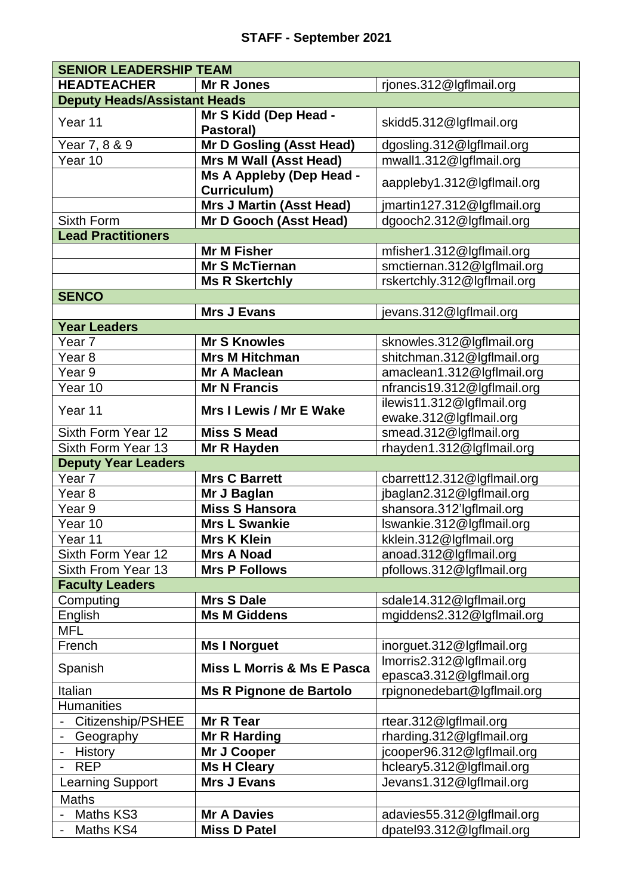| <b>SENIOR LEADERSHIP TEAM</b>       |                                       |                             |
|-------------------------------------|---------------------------------------|-----------------------------|
| <b>HEADTEACHER</b>                  | <b>Mr R Jones</b>                     | rjones.312@lgflmail.org     |
| <b>Deputy Heads/Assistant Heads</b> |                                       |                             |
| Year 11                             | Mr S Kidd (Dep Head -<br>Pastoral)    | skidd5.312@lgflmail.org     |
| Year 7, 8 & 9                       | Mr D Gosling (Asst Head)              | dgosling.312@lgflmail.org   |
| Year 10                             | <b>Mrs M Wall (Asst Head)</b>         | mwall1.312@lgflmail.org     |
|                                     | Ms A Appleby (Dep Head -              |                             |
|                                     | Curriculum)                           | aappleby1.312@lgflmail.org  |
|                                     | <b>Mrs J Martin (Asst Head)</b>       | jmartin127.312@lgflmail.org |
| Sixth Form                          | Mr D Gooch (Asst Head)                | dgooch2.312@lgflmail.org    |
| <b>Lead Practitioners</b>           |                                       |                             |
|                                     | <b>Mr M Fisher</b>                    | mfisher1.312@lgflmail.org   |
|                                     | <b>Mr S McTiernan</b>                 | smctiernan.312@lgflmail.org |
|                                     | <b>Ms R Skertchly</b>                 | rskertchly.312@lgflmail.org |
| <b>SENCO</b>                        |                                       |                             |
|                                     | <b>Mrs J Evans</b>                    | jevans.312@lgflmail.org     |
| <b>Year Leaders</b>                 |                                       |                             |
| Year <sub>7</sub>                   | <b>Mr S Knowles</b>                   | sknowles.312@lgflmail.org   |
| Year <sub>8</sub>                   | <b>Mrs M Hitchman</b>                 | shitchman.312@lgflmail.org  |
| Year 9                              | <b>Mr A Maclean</b>                   | amaclean1.312@lgflmail.org  |
| Year 10                             | <b>Mr N Francis</b>                   | nfrancis19.312@lgflmail.org |
|                                     |                                       | ilewis11.312@lgflmail.org   |
| Year 11                             | <b>Mrs I Lewis / Mr E Wake</b>        | ewake.312@lgflmail.org      |
| Sixth Form Year 12                  | <b>Miss S Mead</b>                    | smead.312@lgflmail.org      |
| Sixth Form Year 13                  | Mr R Hayden                           | rhayden1.312@lgflmail.org   |
| <b>Deputy Year Leaders</b>          |                                       |                             |
| Year 7                              | <b>Mrs C Barrett</b>                  | cbarrett12.312@lgflmail.org |
| Year 8                              | Mr J Baglan                           | jbaglan2.312@lgflmail.org   |
| Year 9                              | <b>Miss S Hansora</b>                 | shansora.312'lgflmail.org   |
| Year 10                             | <b>Mrs L Swankie</b>                  | Iswankie.312@lgflmail.org   |
| Year 11                             | <b>Mrs K Klein</b>                    | kklein.312@lgflmail.org     |
| Sixth Form Year 12                  | <b>Mrs A Noad</b>                     | anoad.312@lgflmail.org      |
| Sixth From Year 13                  | <b>Mrs P Follows</b>                  | pfollows.312@lgflmail.org   |
| <b>Faculty Leaders</b>              |                                       |                             |
| Computing                           | <b>Mrs S Dale</b>                     | sdale14.312@lgflmail.org    |
| English                             | <b>Ms M Giddens</b>                   | mgiddens2.312@lgflmail.org  |
| <b>MFL</b>                          |                                       |                             |
| French                              | <b>Ms I Norguet</b>                   | inorguet.312@lgflmail.org   |
| Spanish                             | <b>Miss L Morris &amp; Ms E Pasca</b> | Imorris2.312@lgflmail.org   |
|                                     |                                       | epasca3.312@lgflmail.org    |
| Italian                             | <b>Ms R Pignone de Bartolo</b>        | rpignonedebart@lgflmail.org |
| <b>Humanities</b>                   |                                       |                             |
| Citizenship/PSHEE                   | <b>Mr R Tear</b>                      | rtear.312@lgflmail.org      |
| Geography                           | <b>Mr R Harding</b>                   | rharding.312@lgflmail.org   |
| History<br>$\overline{\phantom{0}}$ | Mr J Cooper                           | jcooper96.312@lgflmail.org  |
| <b>REP</b>                          | <b>Ms H Cleary</b>                    | hcleary5.312@lgflmail.org   |
| <b>Learning Support</b>             | <b>Mrs J Evans</b>                    | Jevans1.312@lgflmail.org    |
| <b>Maths</b>                        |                                       |                             |
| Maths KS3                           | <b>Mr A Davies</b>                    | adavies55.312@lgflmail.org  |
| Maths KS4                           | <b>Miss D Patel</b>                   | dpatel93.312@lgflmail.org   |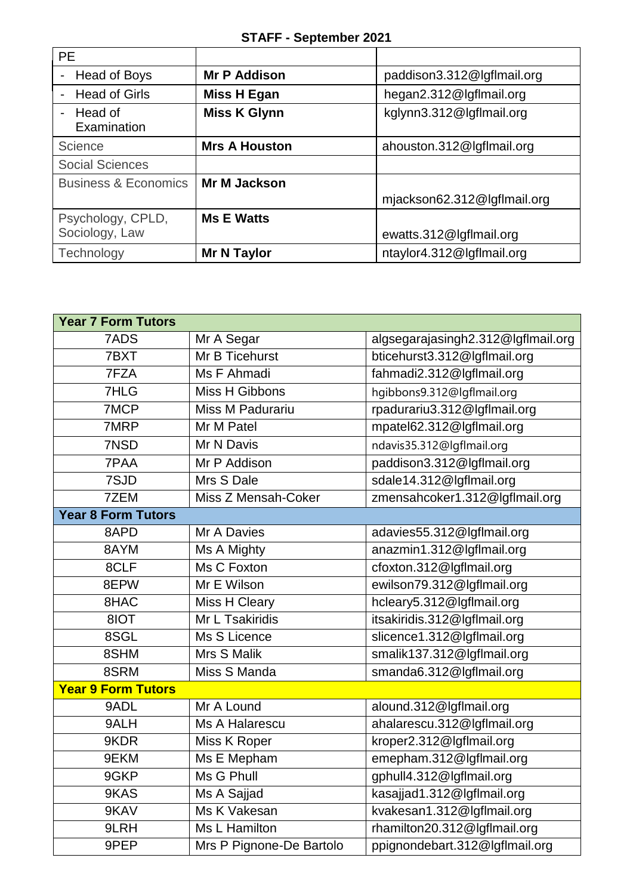| <b>PE</b>                                |                      |                             |
|------------------------------------------|----------------------|-----------------------------|
| Head of Boys<br>-                        | <b>Mr P Addison</b>  | paddison3.312@lgflmail.org  |
| <b>Head of Girls</b>                     | <b>Miss H Egan</b>   | hegan2.312@lgflmail.org     |
| Head of<br>$\blacksquare$<br>Examination | <b>Miss K Glynn</b>  | kglynn3.312@lgflmail.org    |
| Science                                  | <b>Mrs A Houston</b> | ahouston.312@lgflmail.org   |
| <b>Social Sciences</b>                   |                      |                             |
| <b>Business &amp; Economics</b>          | <b>Mr M Jackson</b>  |                             |
|                                          |                      | mjackson62.312@lgflmail.org |
| Psychology, CPLD,                        | <b>Ms E Watts</b>    |                             |
| Sociology, Law                           |                      | ewatts.312@lgflmail.org     |
| Technology                               | <b>Mr N Taylor</b>   | ntaylor4.312@lgflmail.org   |

| <b>Year 7 Form Tutors</b> |                          |                                    |
|---------------------------|--------------------------|------------------------------------|
| 7ADS                      | Mr A Segar               | algsegarajasingh2.312@lgflmail.org |
| 7BXT                      | Mr B Ticehurst           | bticehurst3.312@lgflmail.org       |
| 7FZA                      | Ms F Ahmadi              | fahmadi2.312@lgflmail.org          |
| 7HLG                      | Miss H Gibbons           | hgibbons9.312@lgflmail.org         |
| 7MCP                      | <b>Miss M Padurariu</b>  | rpadurariu3.312@lgflmail.org       |
| 7MRP                      | Mr M Patel               | mpatel62.312@lgflmail.org          |
| 7NSD                      | Mr N Davis               | ndavis35.312@lgflmail.org          |
| 7PAA                      | Mr P Addison             | paddison3.312@lgflmail.org         |
| 7SJD                      | Mrs S Dale               | sdale14.312@lgflmail.org           |
| 7ZEM                      | Miss Z Mensah-Coker      | zmensahcoker1.312@lgflmail.org     |
| <b>Year 8 Form Tutors</b> |                          |                                    |
| 8APD                      | Mr A Davies              | adavies55.312@lgflmail.org         |
| 8AYM                      | Ms A Mighty              | anazmin1.312@lgflmail.org          |
| 8CLF                      | Ms C Foxton              | cfoxton.312@lgflmail.org           |
| 8EPW                      | Mr E Wilson              | ewilson79.312@lgflmail.org         |
| 8HAC                      | Miss H Cleary            | hcleary5.312@lgflmail.org          |
| 8IOT                      | Mr L Tsakiridis          | itsakiridis.312@lgflmail.org       |
| 8SGL                      | Ms S Licence             | slicence1.312@lgflmail.org         |
| 8SHM                      | Mrs S Malik              | smalik137.312@lgflmail.org         |
| 8SRM                      | Miss S Manda             | smanda6.312@lgflmail.org           |
| <b>Year 9 Form Tutors</b> |                          |                                    |
| 9ADL                      | Mr A Lound               | alound.312@lgflmail.org            |
| 9ALH                      | Ms A Halarescu           | ahalarescu.312@lgflmail.org        |
| 9KDR                      | Miss K Roper             | kroper2.312@lgflmail.org           |
| 9EKM                      | Ms E Mepham              | emepham.312@lgflmail.org           |
| 9GKP                      | Ms G Phull               | gphull4.312@lgflmail.org           |
| 9KAS                      | Ms A Sajjad              | kasajjad1.312@lgflmail.org         |
| 9KAV                      | Ms K Vakesan             | kvakesan1.312@lgflmail.org         |
| 9LRH                      | Ms L Hamilton            | rhamilton20.312@lgflmail.org       |
| 9PEP                      | Mrs P Pignone-De Bartolo | ppignondebart.312@lgflmail.org     |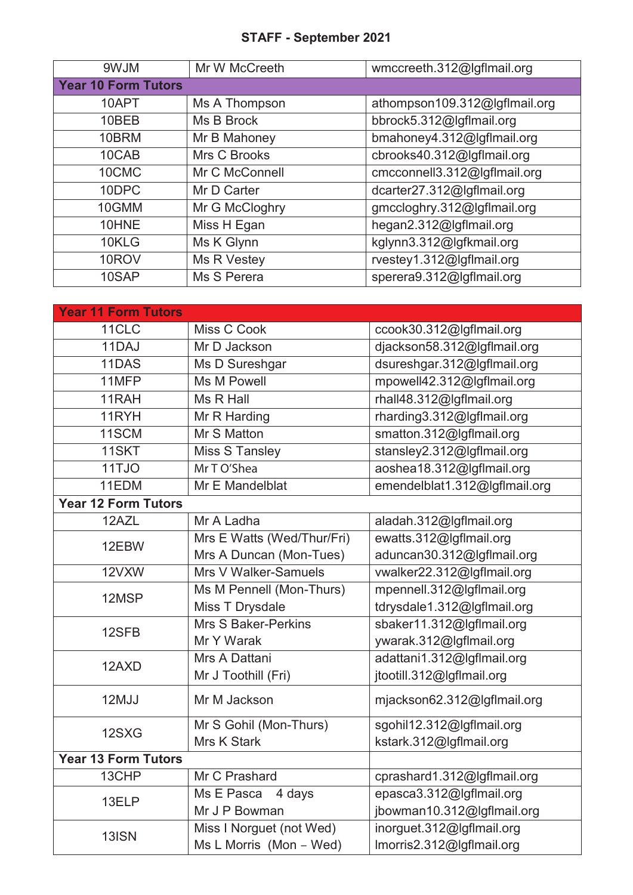## **STAFF - September 2021**

| 9WJM                       | Mr W McCreeth  | wmccreeth.312@lgflmail.org    |
|----------------------------|----------------|-------------------------------|
| <b>Year 10 Form Tutors</b> |                |                               |
| 10APT                      | Ms A Thompson  | athompson109.312@lgflmail.org |
| 10BEB                      | Ms B Brock     | bbrock5.312@lgflmail.org      |
| 10BRM                      | Mr B Mahoney   | bmahoney4.312@lgflmail.org    |
| 10CAB                      | Mrs C Brooks   | cbrooks40.312@lgflmail.org    |
| 10CMC                      | Mr C McConnell | cmcconnell3.312@lgflmail.org  |
| 10DPC                      | Mr D Carter    | dcarter27.312@lgflmail.org    |
| 10GMM                      | Mr G McCloghry | gmccloghry.312@lgflmail.org   |
| 10HNE                      | Miss H Egan    | hegan2.312@lgflmail.org       |
| 10KLG                      | Ms K Glynn     | kglynn3.312@lgfkmail.org      |
| 10ROV                      | Ms R Vestey    | rvestey1.312@lgflmail.org     |
| 10SAP                      | Ms S Perera    | sperera9.312@lgflmail.org     |

| <b>Year 11 Form Tutors</b> |                            |                               |
|----------------------------|----------------------------|-------------------------------|
| 11CLC                      | Miss C Cook                | ccook30.312@lgflmail.org      |
| 11DAJ                      | Mr D Jackson               | djackson58.312@lgflmail.org   |
| 11DAS                      | Ms D Sureshgar             | dsureshgar.312@lgflmail.org   |
| 11MFP                      | Ms M Powell                | mpowell42.312@lgflmail.org    |
| 11RAH                      | Ms R Hall                  | rhall48.312@lgflmail.org      |
| 11RYH                      | Mr R Harding               | rharding3.312@lgflmail.org    |
| 11SCM                      | Mr S Matton                | smatton.312@lgflmail.org      |
| 11SKT                      | <b>Miss S Tansley</b>      | stansley2.312@lgflmail.org    |
| 11TJO                      | Mr T O'Shea                | aoshea18.312@lgflmail.org     |
| 11EDM                      | Mr E Mandelblat            | emendelblat1.312@lgflmail.org |
| <b>Year 12 Form Tutors</b> |                            |                               |
| 12AZL                      | Mr A Ladha                 | aladah.312@lgflmail.org       |
| 12EBW                      | Mrs E Watts (Wed/Thur/Fri) | ewatts.312@lgflmail.org       |
|                            | Mrs A Duncan (Mon-Tues)    | aduncan30.312@lgflmail.org    |
| 12VXW                      | Mrs V Walker-Samuels       | vwalker22.312@lgflmail.org    |
| 12MSP                      | Ms M Pennell (Mon-Thurs)   | mpennell.312@lgflmail.org     |
|                            | Miss T Drysdale            | tdrysdale1.312@lgflmail.org   |
| 12SFB                      | <b>Mrs S Baker-Perkins</b> | sbaker11.312@lgflmail.org     |
|                            | Mr Y Warak                 | ywarak.312@lgflmail.org       |
| 12AXD                      | Mrs A Dattani              | adattani1.312@lgflmail.org    |
|                            | Mr J Toothill (Fri)        | jtootill.312@lgflmail.org     |
| 12MJJ                      | Mr M Jackson               | mjackson62.312@lgflmail.org   |
| 12SXG                      | Mr S Gohil (Mon-Thurs)     | sgohil12.312@lgflmail.org     |
|                            | <b>Mrs K Stark</b>         | kstark.312@lgflmail.org       |
| <b>Year 13 Form Tutors</b> |                            |                               |
| 13CHP                      | Mr C Prashard              | cprashard1.312@lgflmail.org   |
| 13ELP                      | Ms E Pasca<br>4 days       | epasca3.312@lgflmail.org      |
|                            | Mr J P Bowman              | jbowman10.312@lgflmail.org    |
| 13ISN                      | Miss I Norguet (not Wed)   | inorguet.312@lgflmail.org     |
|                            | Ms L Morris (Mon - Wed)    | Imorris2.312@lgflmail.org     |